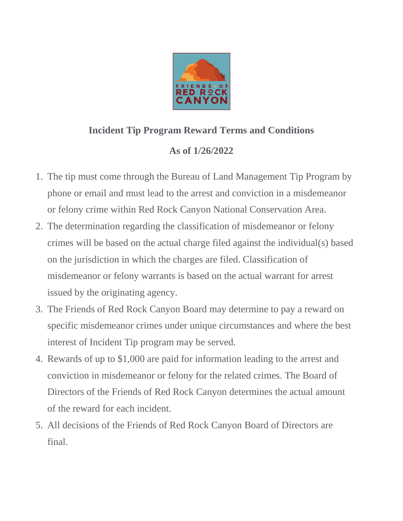

## **Incident Tip Program Reward Terms and Conditions**

## **As of 1/26/2022**

- 1. The tip must come through the Bureau of Land Management Tip Program by phone or email and must lead to the arrest and conviction in a misdemeanor or felony crime within Red Rock Canyon National Conservation Area.
- 2. The determination regarding the classification of misdemeanor or felony crimes will be based on the actual charge filed against the individual(s) based on the jurisdiction in which the charges are filed. Classification of misdemeanor or felony warrants is based on the actual warrant for arrest issued by the originating agency.
- 3. The Friends of Red Rock Canyon Board may determine to pay a reward on specific misdemeanor crimes under unique circumstances and where the best interest of Incident Tip program may be served.
- 4. Rewards of up to \$1,000 are paid for information leading to the arrest and conviction in misdemeanor or felony for the related crimes. The Board of Directors of the Friends of Red Rock Canyon determines the actual amount of the reward for each incident.
- 5. All decisions of the Friends of Red Rock Canyon Board of Directors are final.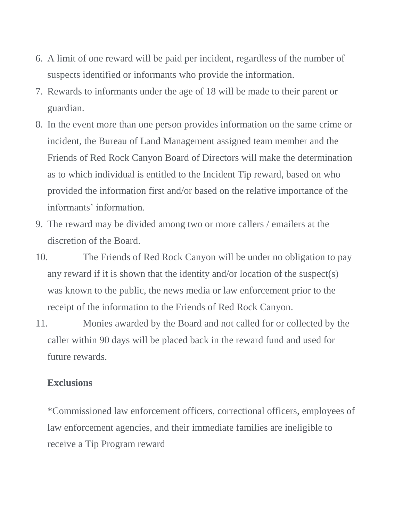- 6. A limit of one reward will be paid per incident, regardless of the number of suspects identified or informants who provide the information.
- 7. Rewards to informants under the age of 18 will be made to their parent or guardian.
- 8. In the event more than one person provides information on the same crime or incident, the Bureau of Land Management assigned team member and the Friends of Red Rock Canyon Board of Directors will make the determination as to which individual is entitled to the Incident Tip reward, based on who provided the information first and/or based on the relative importance of the informants' information.
- 9. The reward may be divided among two or more callers / emailers at the discretion of the Board.
- 10. The Friends of Red Rock Canyon will be under no obligation to pay any reward if it is shown that the identity and/or location of the suspect(s) was known to the public, the news media or law enforcement prior to the receipt of the information to the Friends of Red Rock Canyon.
- 11. Monies awarded by the Board and not called for or collected by the caller within 90 days will be placed back in the reward fund and used for future rewards.

## **Exclusions**

\*Commissioned law enforcement officers, correctional officers, employees of law enforcement agencies, and their immediate families are ineligible to receive a Tip Program reward